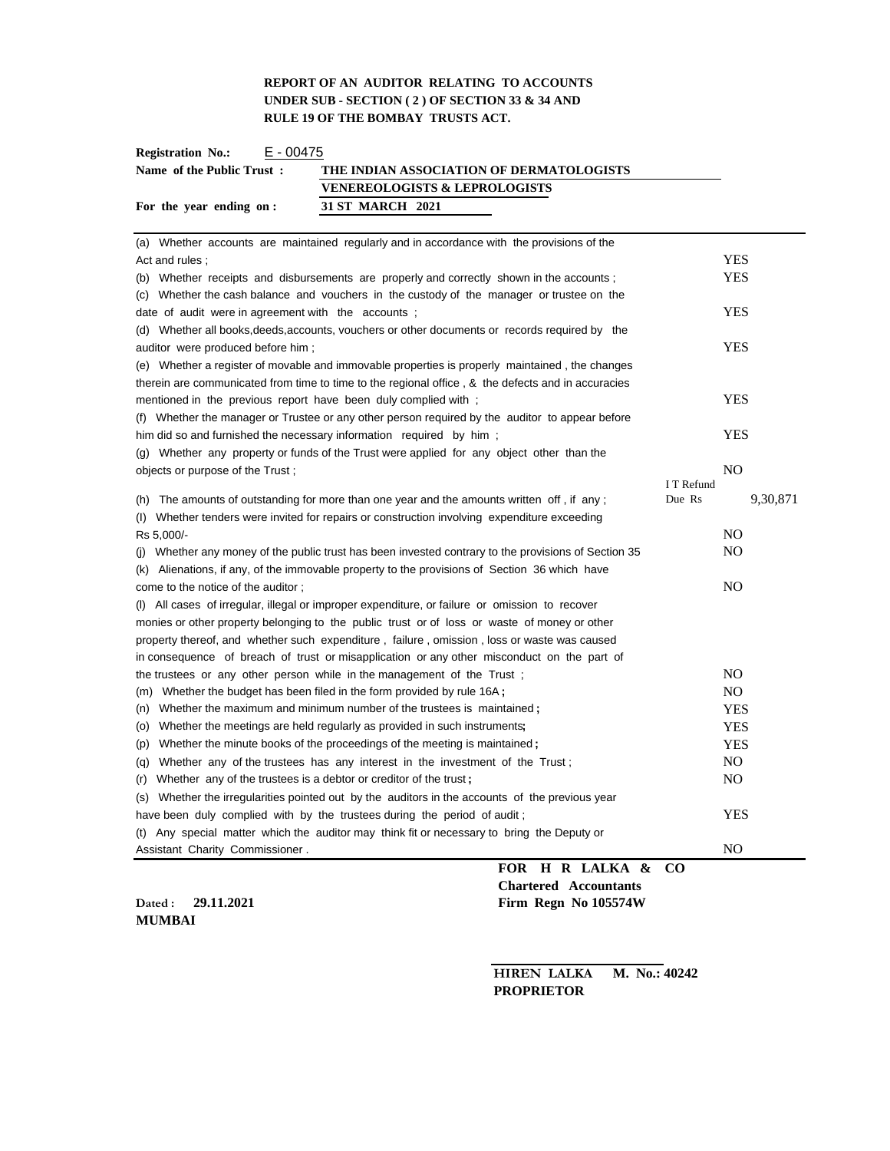# **REPORT OF AN AUDITOR RELATING TO ACCOUNTS UNDER SUB - SECTION ( 2 ) OF SECTION 33 & 34 AND RULE 19 OF THE BOMBAY TRUSTS ACT.**

| E - 00475<br><b>Registration No.:</b> |                                          |
|---------------------------------------|------------------------------------------|
| Name of the Public Trust:             | THE INDIAN ASSOCIATION OF DERMATOLOGISTS |
|                                       | <b>VENEREOLOGISTS &amp; LEPROLOGISTS</b> |
| For the year ending on :              | 31 ST MARCH 2021                         |

| (a) Whether accounts are maintained regularly and in accordance with the provisions of the           |            |                |
|------------------------------------------------------------------------------------------------------|------------|----------------|
| Act and rules;                                                                                       |            | YES            |
| (b) Whether receipts and disbursements are properly and correctly shown in the accounts;             |            | <b>YES</b>     |
| (c) Whether the cash balance and vouchers in the custody of the manager or trustee on the            |            |                |
| date of audit were in agreement with the accounts;                                                   |            | <b>YES</b>     |
| (d) Whether all books, deeds, accounts, vouchers or other documents or records required by the       |            |                |
| auditor were produced before him;                                                                    |            | <b>YES</b>     |
| (e) Whether a register of movable and immovable properties is properly maintained, the changes       |            |                |
| therein are communicated from time to time to the regional office, & the defects and in accuracies   |            |                |
| mentioned in the previous report have been duly complied with;                                       |            | YES            |
| (f) Whether the manager or Trustee or any other person required by the auditor to appear before      |            |                |
| him did so and furnished the necessary information required by him;                                  |            | <b>YES</b>     |
| (g) Whether any property or funds of the Trust were applied for any object other than the            |            |                |
| objects or purpose of the Trust;                                                                     |            | N <sub>O</sub> |
|                                                                                                      | I T Refund |                |
| (h) The amounts of outstanding for more than one year and the amounts written off, if any;           | Due Rs     | 9,30,871       |
| (I) Whether tenders were invited for repairs or construction involving expenditure exceeding         |            |                |
| Rs 5,000/-                                                                                           |            | N <sub>O</sub> |
| (i) Whether any money of the public trust has been invested contrary to the provisions of Section 35 |            | NO.            |
| Alienations, if any, of the immovable property to the provisions of Section 36 which have<br>(k)     |            |                |
| come to the notice of the auditor;                                                                   |            | N <sub>O</sub> |
| (I) All cases of irregular, illegal or improper expenditure, or failure or omission to recover       |            |                |
| monies or other property belonging to the public trust or of loss or waste of money or other         |            |                |
| property thereof, and whether such expenditure, failure, omission, loss or waste was caused          |            |                |
| in consequence of breach of trust or misapplication or any other misconduct on the part of           |            |                |
| the trustees or any other person while in the management of the Trust;                               |            | N <sub>O</sub> |
| (m) Whether the budget has been filed in the form provided by rule 16A;                              |            | N <sub>O</sub> |
| (n) Whether the maximum and minimum number of the trustees is maintained;                            |            | <b>YES</b>     |
| (o) Whether the meetings are held regularly as provided in such instruments;                         |            | <b>YES</b>     |
| (p) Whether the minute books of the proceedings of the meeting is maintained;                        |            | <b>YES</b>     |
| Whether any of the trustees has any interest in the investment of the Trust;<br>(a)                  |            | N <sub>O</sub> |
| (r) Whether any of the trustees is a debtor or creditor of the trust;                                |            | N <sub>O</sub> |
| Whether the irregularities pointed out by the auditors in the accounts of the previous year<br>(S)   |            |                |
| have been duly complied with by the trustees during the period of audit;                             |            | <b>YES</b>     |
| (t) Any special matter which the auditor may think fit or necessary to bring the Deputy or           |            |                |
| Assistant Charity Commissioner.                                                                      |            | N <sub>O</sub> |
| FOR H R LALKA & CO                                                                                   |            |                |

**MUMBAI**

**Chartered Accountants Dated : 29.11.2021 Firm Regn No 105574W**

> **HIREN LALKA M. No.: 40242 PROPRIETOR**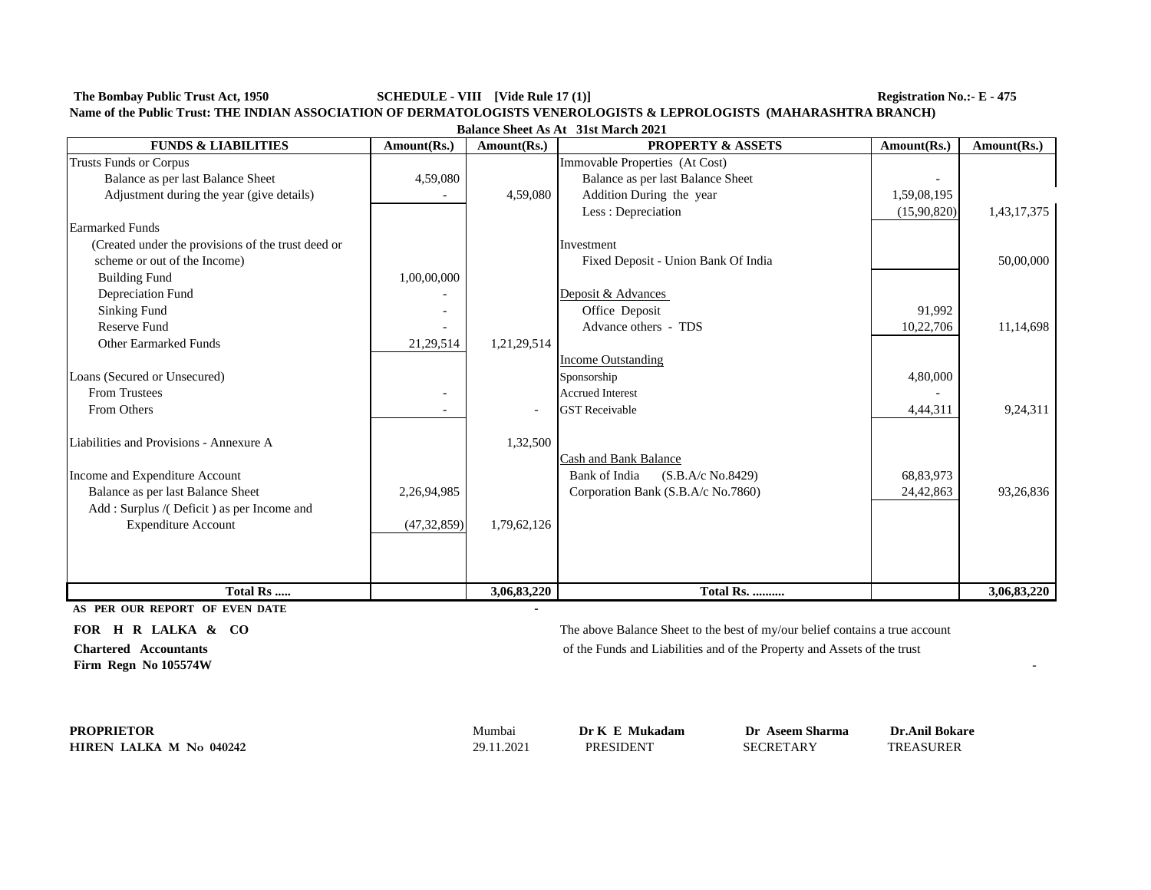**The Bombay Public Trust Act, 1950 SCHEDULE - VIII [Vide Rule 17 (1)] Registration No.:- E - 475**

| Name of the Public Trust: THE INDIAN ASSOCIATION OF DERMATOLOGISTS VENEROLOGISTS & LEPROLOGISTS (MAHARASHTRA BRANCH) |  |
|----------------------------------------------------------------------------------------------------------------------|--|
|----------------------------------------------------------------------------------------------------------------------|--|

| <b>Balance Sheet As At 31st March 2021</b> |  |  |
|--------------------------------------------|--|--|
|--------------------------------------------|--|--|

| <b>FUNDS &amp; LIABILITIES</b>                     | Amount(Rs.)   | Amount(Rs.) | <b>PROPERTY &amp; ASSETS</b>        | Amount(Rs.) | Amount(Rs.) |
|----------------------------------------------------|---------------|-------------|-------------------------------------|-------------|-------------|
| <b>Trusts Funds or Corpus</b>                      |               |             | Immovable Properties (At Cost)      |             |             |
| Balance as per last Balance Sheet                  | 4,59,080      |             | Balance as per last Balance Sheet   |             |             |
| Adjustment during the year (give details)          |               | 4,59,080    | Addition During the year            | 1,59,08,195 |             |
|                                                    |               |             | Less: Depreciation                  | (15,90,820) | 1,43,17,375 |
| <b>Earmarked Funds</b>                             |               |             |                                     |             |             |
| (Created under the provisions of the trust deed or |               |             | Investment                          |             |             |
| scheme or out of the Income)                       |               |             | Fixed Deposit - Union Bank Of India |             | 50,00,000   |
| <b>Building Fund</b>                               | 1,00,00,000   |             |                                     |             |             |
| Depreciation Fund                                  |               |             | Deposit & Advances                  |             |             |
| Sinking Fund                                       |               |             | Office Deposit                      | 91,992      |             |
| <b>Reserve Fund</b>                                |               |             | Advance others - TDS                | 10,22,706   | 11,14,698   |
| <b>Other Earmarked Funds</b>                       | 21,29,514     | 1,21,29,514 |                                     |             |             |
|                                                    |               |             | <b>Income Outstanding</b>           |             |             |
| Loans (Secured or Unsecured)                       |               |             | Sponsorship                         | 4,80,000    |             |
| <b>From Trustees</b>                               |               |             | <b>Accrued Interest</b>             |             |             |
| From Others                                        |               |             | <b>GST Receivable</b>               | 4,44,311    | 9,24,311    |
|                                                    |               |             |                                     |             |             |
| Liabilities and Provisions - Annexure A            |               | 1,32,500    |                                     |             |             |
|                                                    |               |             | Cash and Bank Balance               |             |             |
| Income and Expenditure Account                     |               |             | Bank of India<br>(S.B.A/c No.8429)  | 68,83,973   |             |
| Balance as per last Balance Sheet                  | 2,26,94,985   |             | Corporation Bank (S.B.A/c No.7860)  | 24,42,863   | 93,26,836   |
| Add: Surplus /(Deficit) as per Income and          |               |             |                                     |             |             |
| <b>Expenditure Account</b>                         | (47, 32, 859) | 1,79,62,126 |                                     |             |             |
|                                                    |               |             |                                     |             |             |
|                                                    |               |             |                                     |             |             |
| Total Rs                                           |               | 3,06,83,220 | Total Rs.                           |             | 3,06,83,220 |

**AS PER OUR REPORT OF EVEN DATE-**

**Firm Regn No 105574W** 

**FOR H R LALKA & CO** The above Balance Sheet to the best of my/our belief contains a true account **Chartered Accountants** of the Funds and Liabilities and of the Property and Assets of the trust

**PROPRIETORHIREN LALKA M No 040242**

29.11.2021 PRESIDENT SECRETARY TREASURER

Mumbai **Dr K E Mukadam Dr Aseem Sharma Dr.Anil Bokare**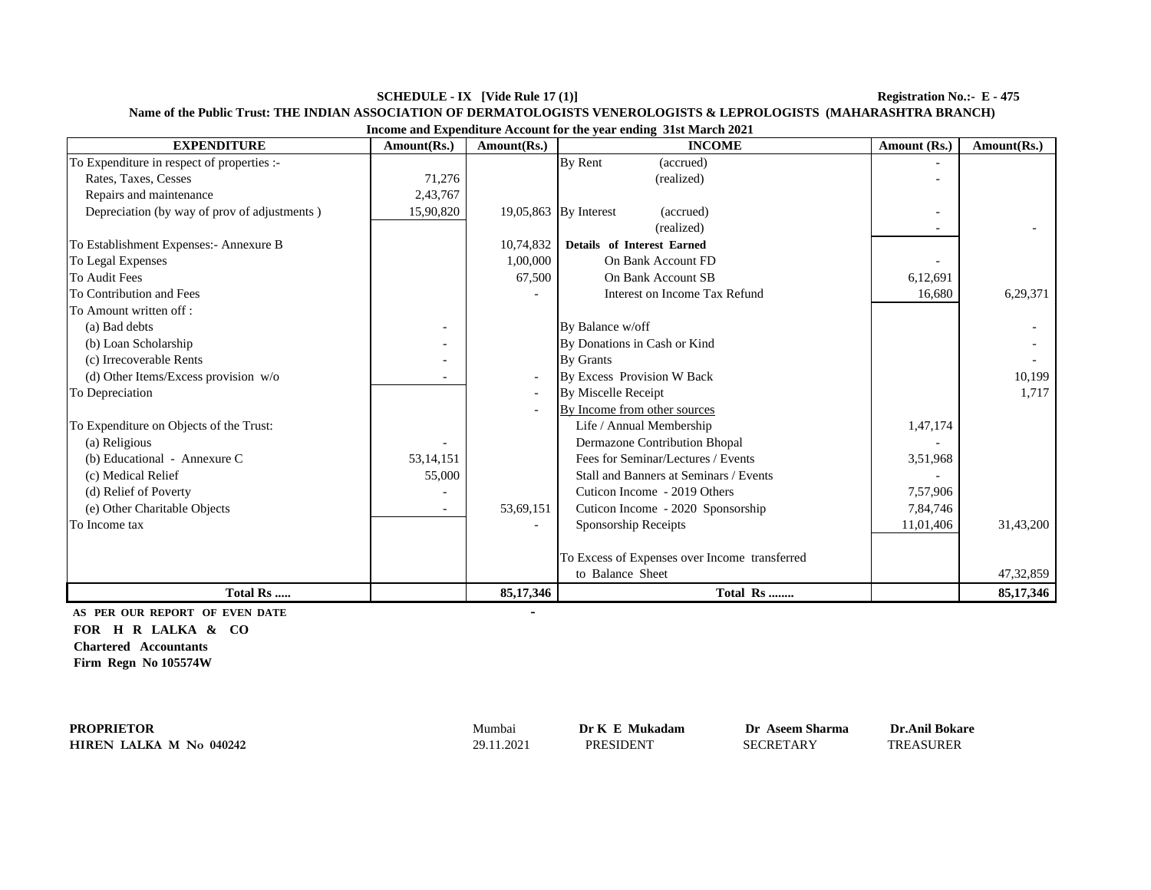**SCHEDULE - IX [Vide Rule 17 (1)] Registration No.:- E - 475**

| Income and Expenditure Account for the year ending 31st March 2021 |                          |             |                                               |              |             |
|--------------------------------------------------------------------|--------------------------|-------------|-----------------------------------------------|--------------|-------------|
| <b>EXPENDITURE</b>                                                 | Amount(Rs.)              | Amount(Rs.) | <b>INCOME</b>                                 | Amount (Rs.) | Amount(Rs.) |
| To Expenditure in respect of properties :-                         |                          |             | By Rent<br>(accrued)                          |              |             |
| Rates, Taxes, Cesses                                               | 71,276                   |             | (realized)                                    |              |             |
| Repairs and maintenance                                            | 2,43,767                 |             |                                               |              |             |
| Depreciation (by way of prov of adjustments)                       | 15,90,820                |             | 19,05,863 By Interest<br>(accrued)            |              |             |
|                                                                    |                          |             | (realized)                                    |              |             |
| To Establishment Expenses:- Annexure B                             |                          | 10,74,832   | <b>Details</b> of Interest Earned             |              |             |
| To Legal Expenses                                                  |                          | 1,00,000    | On Bank Account FD                            |              |             |
| To Audit Fees                                                      |                          | 67,500      | On Bank Account SB                            | 6,12,691     |             |
| To Contribution and Fees                                           |                          |             | Interest on Income Tax Refund                 | 16,680       | 6,29,371    |
| To Amount written off:                                             |                          |             |                                               |              |             |
| (a) Bad debts                                                      |                          |             | By Balance w/off                              |              |             |
| (b) Loan Scholarship                                               |                          |             | By Donations in Cash or Kind                  |              |             |
| (c) Irrecoverable Rents                                            |                          |             | <b>By Grants</b>                              |              |             |
| (d) Other Items/Excess provision $w/o$                             |                          |             | By Excess Provision W Back                    |              | 10.199      |
| To Depreciation                                                    |                          |             | By Miscelle Receipt                           |              | 1,717       |
|                                                                    |                          |             | By Income from other sources                  |              |             |
| To Expenditure on Objects of the Trust:                            |                          |             | Life / Annual Membership                      | 1,47,174     |             |
| (a) Religious                                                      |                          |             | <b>Dermazone Contribution Bhopal</b>          |              |             |
| (b) Educational - Annexure C                                       | 53,14,151                |             | Fees for Seminar/Lectures / Events            | 3,51,968     |             |
| (c) Medical Relief                                                 | 55,000                   |             | Stall and Banners at Seminars / Events        |              |             |
| (d) Relief of Poverty                                              |                          |             | Cuticon Income - 2019 Others                  | 7,57,906     |             |
| (e) Other Charitable Objects                                       | $\overline{\phantom{a}}$ | 53,69,151   | Cuticon Income - 2020 Sponsorship             | 7,84,746     |             |
| To Income tax                                                      |                          |             | Sponsorship Receipts                          | 11,01,406    | 31,43,200   |
|                                                                    |                          |             |                                               |              |             |
|                                                                    |                          |             | To Excess of Expenses over Income transferred |              |             |
|                                                                    |                          |             | to Balance Sheet                              |              | 47,32,859   |
| Total Rs                                                           |                          | 85,17,346   | Total Rs                                      |              | 85,17,346   |

**Name of the Public Trust: THE INDIAN ASSOCIATION OF DERMATOLOGISTS VENEROLOGISTS & LEPROLOGISTS (MAHARASHTRA BRANCH)**

**AS PER OUR REPORT OF EVEN DATE - FOR H R LALKA & CO Chartered Accountants Firm Regn No 105574W**

**PROPRIETORHIREN LALKA M No 040242**

29.11.2021 PRESIDENT SECRETARY

 Mumbai **Dr K E Mukadam Dr Aseem Sharma Dr.Anil Bokare TREASURER**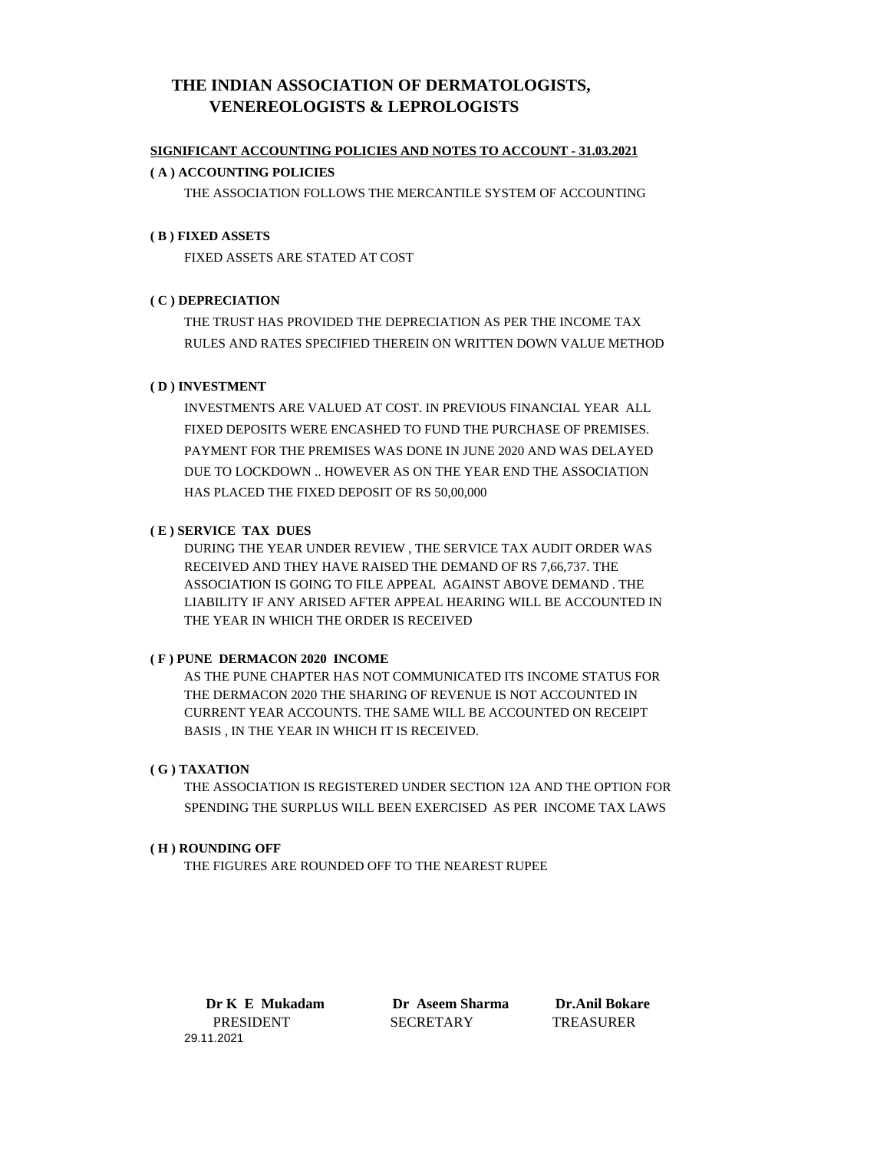# **THE INDIAN ASSOCIATION OF DERMATOLOGISTS, VENEREOLOGISTS & LEPROLOGISTS**

### **SIGNIFICANT ACCOUNTING POLICIES AND NOTES TO ACCOUNT - 31.03.2021**

### **( A ) ACCOUNTING POLICIES**

THE ASSOCIATION FOLLOWS THE MERCANTILE SYSTEM OF ACCOUNTING

# **( B ) FIXED ASSETS**

FIXED ASSETS ARE STATED AT COST

# **( C ) DEPRECIATION**

THE TRUST HAS PROVIDED THE DEPRECIATION AS PER THE INCOME TAX RULES AND RATES SPECIFIED THEREIN ON WRITTEN DOWN VALUE METHOD

# **( D ) INVESTMENT**

INVESTMENTS ARE VALUED AT COST. IN PREVIOUS FINANCIAL YEAR ALL FIXED DEPOSITS WERE ENCASHED TO FUND THE PURCHASE OF PREMISES. PAYMENT FOR THE PREMISES WAS DONE IN JUNE 2020 AND WAS DELAYED DUE TO LOCKDOWN .. HOWEVER AS ON THE YEAR END THE ASSOCIATION HAS PLACED THE FIXED DEPOSIT OF RS 50,00,000

# **( E ) SERVICE TAX DUES**

DURING THE YEAR UNDER REVIEW , THE SERVICE TAX AUDIT ORDER WAS RECEIVED AND THEY HAVE RAISED THE DEMAND OF RS 7,66,737. THE ASSOCIATION IS GOING TO FILE APPEAL AGAINST ABOVE DEMAND . THE LIABILITY IF ANY ARISED AFTER APPEAL HEARING WILL BE ACCOUNTED IN THE YEAR IN WHICH THE ORDER IS RECEIVED

#### **( F ) PUNE DERMACON 2020 INCOME**

AS THE PUNE CHAPTER HAS NOT COMMUNICATED ITS INCOME STATUS FOR THE DERMACON 2020 THE SHARING OF REVENUE IS NOT ACCOUNTED IN CURRENT YEAR ACCOUNTS. THE SAME WILL BE ACCOUNTED ON RECEIPT BASIS , IN THE YEAR IN WHICH IT IS RECEIVED.

#### **( G ) TAXATION**

THE ASSOCIATION IS REGISTERED UNDER SECTION 12A AND THE OPTION FOR SPENDING THE SURPLUS WILL BEEN EXERCISED AS PER INCOME TAX LAWS

#### **( H ) ROUNDING OFF**

THE FIGURES ARE ROUNDED OFF TO THE NEAREST RUPEE

 **Dr K E Mukadam Dr Aseem Sharma Dr.Anil Bokare**  PRESIDENT SECRETARY TREASURER 29.11.2021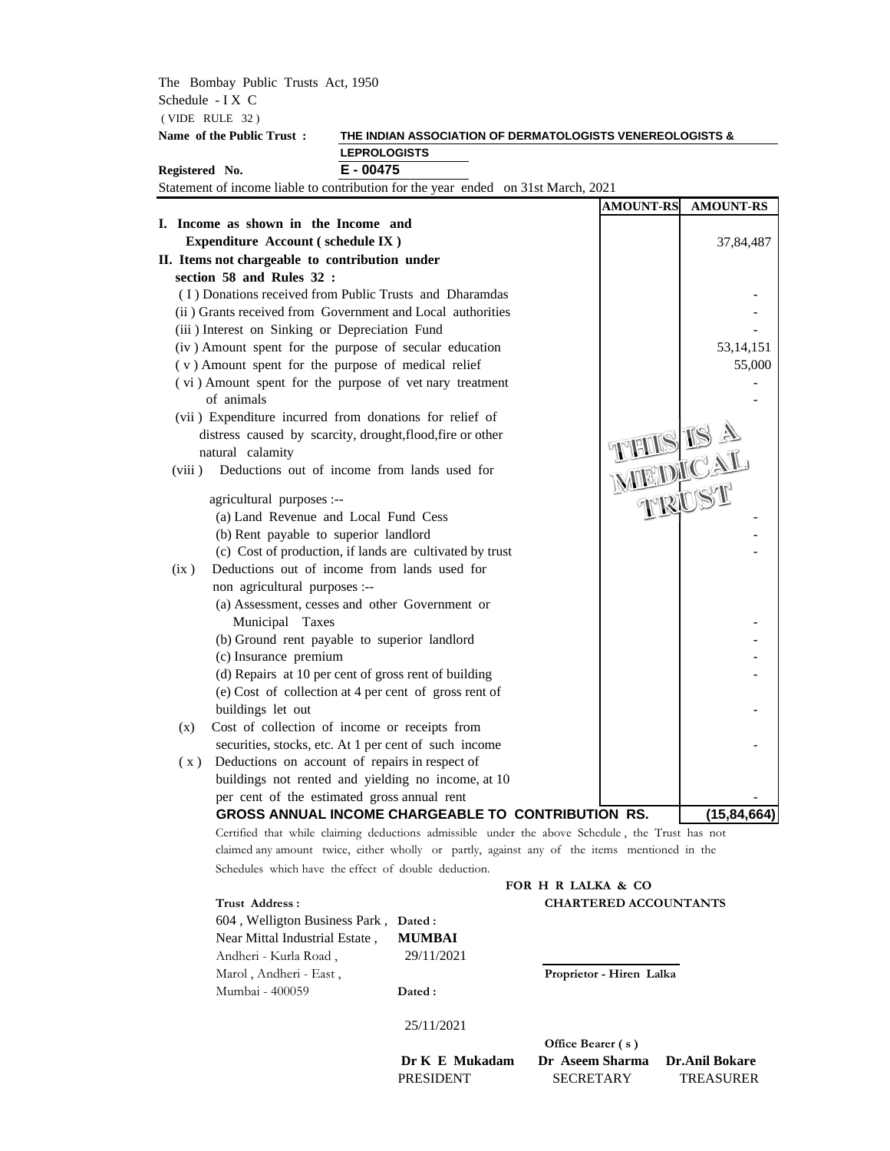The Bombay Public Trusts Act, 1950 Schedule - I X C ( VIDE RULE 32 )

# **Name of the Public Trust : THE INDIAN ASSOCIATION OF DERMATOLOGISTS VENEREOLOGISTS & LEPROLOGISTS**

**Registered No. E - 00475**

Statement of income liable to contribution for the year ended on 31st March, 2021

|                                                                                                          | <b>AMOUNT-RS</b>             | <b>AMOUNT-RS</b> |
|----------------------------------------------------------------------------------------------------------|------------------------------|------------------|
| I. Income as shown in the Income and                                                                     |                              |                  |
| Expenditure Account (schedule IX)                                                                        |                              | 37,84,487        |
| II. Items not chargeable to contribution under                                                           |                              |                  |
| section 58 and Rules 32 :                                                                                |                              |                  |
| (I) Donations received from Public Trusts and Dharamdas                                                  |                              |                  |
| (ii) Grants received from Government and Local authorities                                               |                              |                  |
| (iii) Interest on Sinking or Depreciation Fund                                                           |                              |                  |
| (iv) Amount spent for the purpose of secular education                                                   |                              | 53, 14, 151      |
| (v) Amount spent for the purpose of medical relief                                                       |                              | 55,000           |
| (vi) Amount spent for the purpose of vet nary treatment                                                  |                              |                  |
| of animals                                                                                               |                              |                  |
| (vii) Expenditure incurred from donations for relief of                                                  |                              |                  |
| distress caused by scarcity, drought, flood, fire or other                                               |                              |                  |
| natural calamity                                                                                         |                              |                  |
| Deductions out of income from lands used for<br>(viii)                                                   |                              |                  |
|                                                                                                          |                              |                  |
| agricultural purposes :--<br>(a) Land Revenue and Local Fund Cess                                        | <b>THIS IS A</b><br>MIEDICAL |                  |
|                                                                                                          |                              |                  |
| (b) Rent payable to superior landlord                                                                    |                              |                  |
| (c) Cost of production, if lands are cultivated by trust<br>Deductions out of income from lands used for |                              |                  |
| (ix)<br>non agricultural purposes :--                                                                    |                              |                  |
| (a) Assessment, cesses and other Government or                                                           |                              |                  |
| Municipal Taxes                                                                                          |                              |                  |
| (b) Ground rent payable to superior landlord                                                             |                              |                  |
| (c) Insurance premium                                                                                    |                              |                  |
| (d) Repairs at 10 per cent of gross rent of building                                                     |                              |                  |
| (e) Cost of collection at 4 per cent of gross rent of                                                    |                              |                  |
| buildings let out                                                                                        |                              |                  |
| (x)<br>Cost of collection of income or receipts from                                                     |                              |                  |
| securities, stocks, etc. At 1 per cent of such income                                                    |                              |                  |
| Deductions on account of repairs in respect of<br>(x)                                                    |                              |                  |
| buildings not rented and yielding no income, at 10                                                       |                              |                  |
| per cent of the estimated gross annual rent                                                              |                              |                  |
| GROSS ANNUAL INCOME CHARGEABLE TO CONTRIBUTION RS.                                                       |                              | (15, 84, 664)    |
| Certified that while claiming deductions admissible, under the above Schedule, the Trust best not        |                              |                  |

Certified that while claiming deductions admissible under the above Schedule , the Trust has not claimed any amount twice, either wholly or partly, against any of the items mentioned in the Schedules which have the effect of double deduction.

# **FOR H R LALKA & CO Trust Address : CHARTERED ACCOUNTANTS**

| 604, Welligton Business Park, Dated: |                          |
|--------------------------------------|--------------------------|
| <b>MUMBAI</b>                        |                          |
| 29/11/2021                           |                          |
|                                      | Proprietor - Hiren Lalka |
| Dated :                              |                          |
|                                      |                          |

# 25/11/2021

**Office Bearer ( s ) Dr K E Mukadam Dr Aseem Sharma Dr.Anil Bokare**  PRESIDENT SECRETARY TREASURER